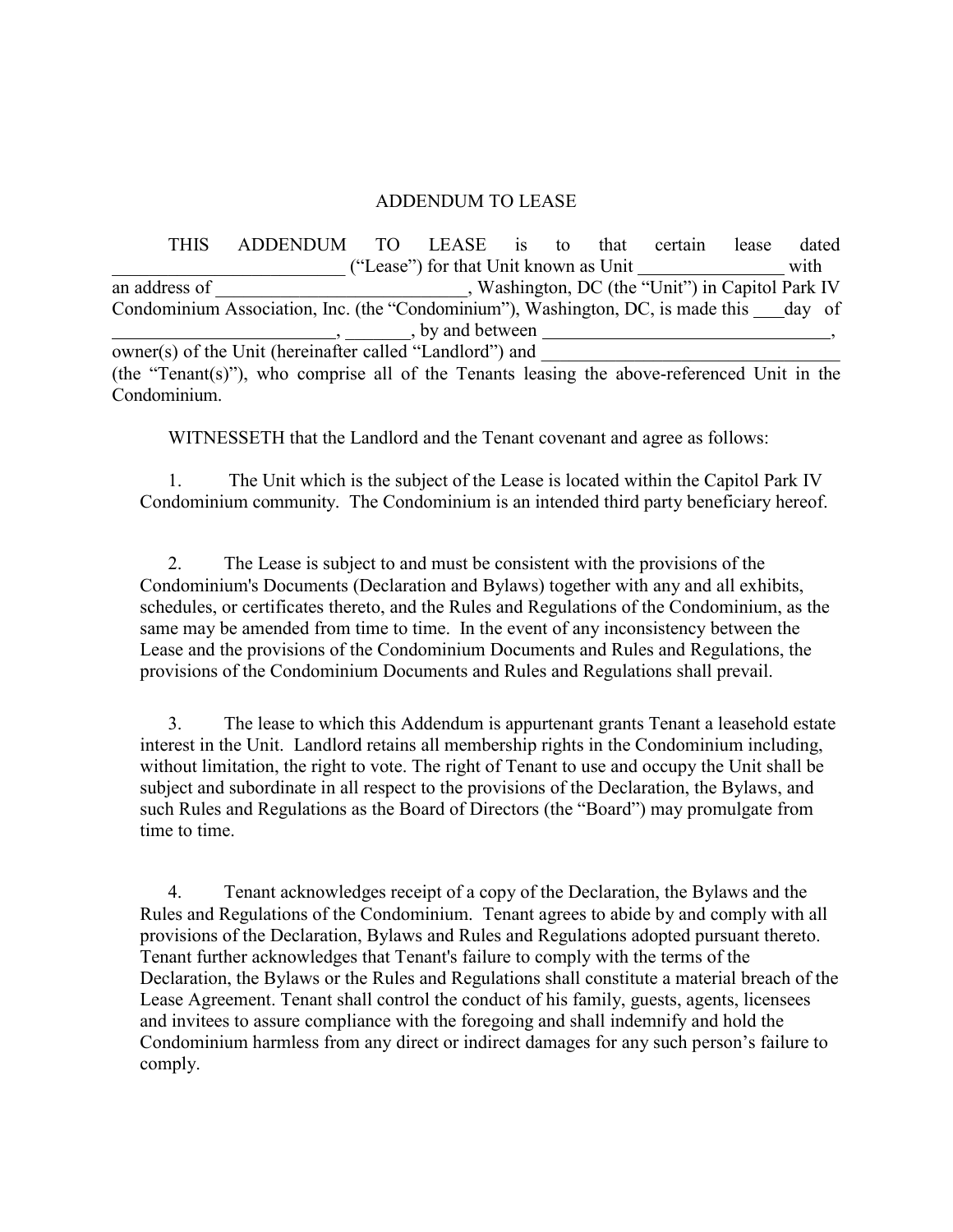## ADDENDUM TO LEASE

THIS ADDENDUM TO LEASE is to that certain lease dated \_\_\_\_\_\_\_\_\_\_\_\_\_\_\_\_\_\_\_\_\_\_\_\_\_ ("Lease") for that Unit known as Unit with an address of <br>
Washington, DC (the "Unit") in Capitol Park IV Condominium Association, Inc. (the "Condominium"), Washington, DC, is made this day of , by and between  $\overline{\text{owner(s)}\text{ of the Unit (hereinafter called "Landlord")}}$  and (the "Tenant(s)"), who comprise all of the Tenants leasing the above-referenced Unit in the Condominium.

WITNESSETH that the Landlord and the Tenant covenant and agree as follows:

1. The Unit which is the subject of the Lease is located within the Capitol Park IV Condominium community. The Condominium is an intended third party beneficiary hereof.

2. The Lease is subject to and must be consistent with the provisions of the Condominium's Documents (Declaration and Bylaws) together with any and all exhibits, schedules, or certificates thereto, and the Rules and Regulations of the Condominium, as the same may be amended from time to time. In the event of any inconsistency between the Lease and the provisions of the Condominium Documents and Rules and Regulations, the provisions of the Condominium Documents and Rules and Regulations shall prevail.

3. The lease to which this Addendum is appurtenant grants Tenant a leasehold estate interest in the Unit. Landlord retains all membership rights in the Condominium including, without limitation, the right to vote. The right of Tenant to use and occupy the Unit shall be subject and subordinate in all respect to the provisions of the Declaration, the Bylaws, and such Rules and Regulations as the Board of Directors (the "Board") may promulgate from time to time.

4. Tenant acknowledges receipt of a copy of the Declaration, the Bylaws and the Rules and Regulations of the Condominium. Tenant agrees to abide by and comply with all provisions of the Declaration, Bylaws and Rules and Regulations adopted pursuant thereto. Tenant further acknowledges that Tenant's failure to comply with the terms of the Declaration, the Bylaws or the Rules and Regulations shall constitute a material breach of the Lease Agreement. Tenant shall control the conduct of his family, guests, agents, licensees and invitees to assure compliance with the foregoing and shall indemnify and hold the Condominium harmless from any direct or indirect damages for any such person's failure to comply.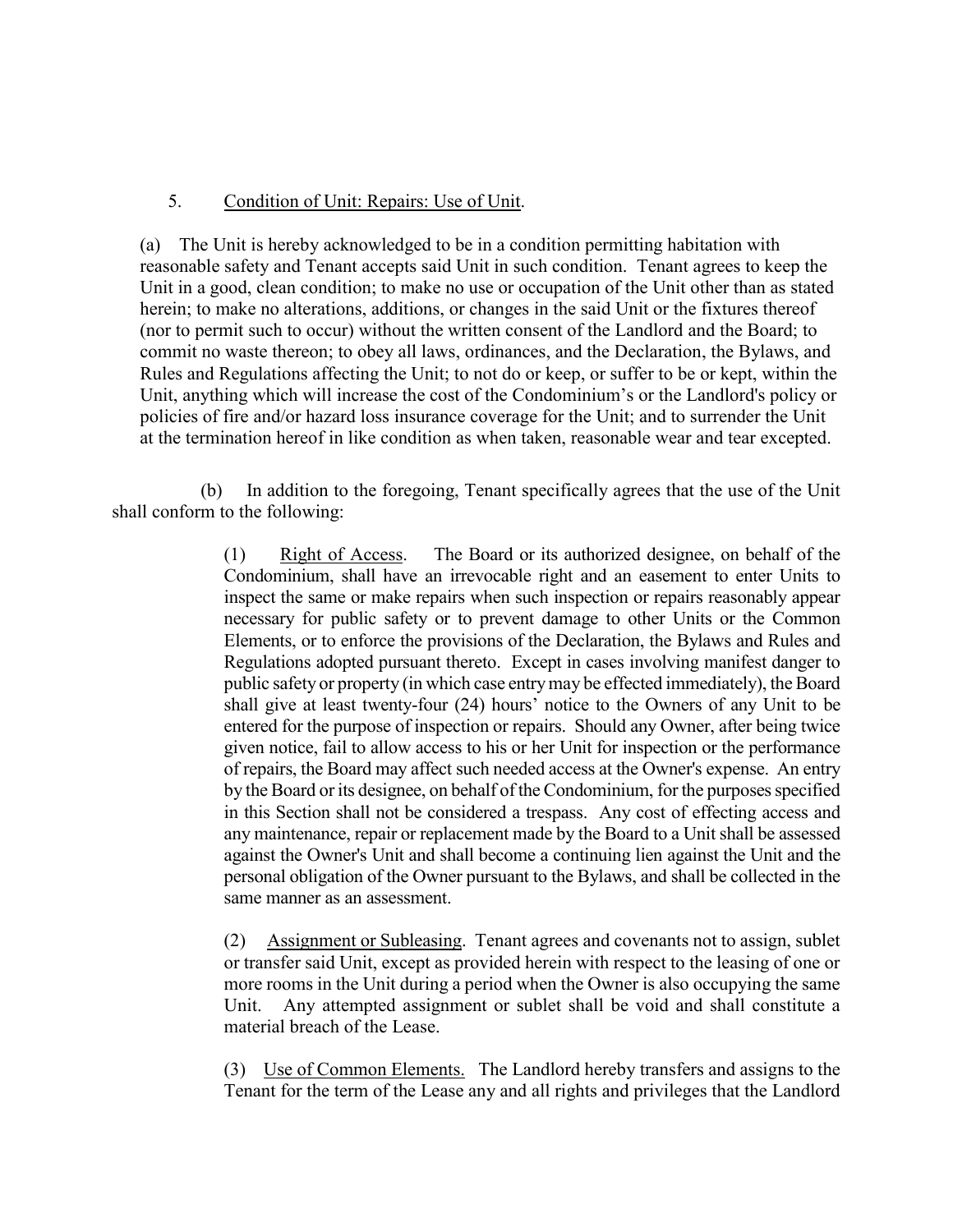## 5. Condition of Unit: Repairs: Use of Unit.

(a) The Unit is hereby acknowledged to be in a condition permitting habitation with reasonable safety and Tenant accepts said Unit in such condition. Tenant agrees to keep the Unit in a good, clean condition; to make no use or occupation of the Unit other than as stated herein; to make no alterations, additions, or changes in the said Unit or the fixtures thereof (nor to permit such to occur) without the written consent of the Landlord and the Board; to commit no waste thereon; to obey all laws, ordinances, and the Declaration, the Bylaws, and Rules and Regulations affecting the Unit; to not do or keep, or suffer to be or kept, within the Unit, anything which will increase the cost of the Condominium's or the Landlord's policy or policies of fire and/or hazard loss insurance coverage for the Unit; and to surrender the Unit at the termination hereof in like condition as when taken, reasonable wear and tear excepted.

 (b) In addition to the foregoing, Tenant specifically agrees that the use of the Unit shall conform to the following:

> (1) Right of Access. The Board or its authorized designee, on behalf of the Condominium, shall have an irrevocable right and an easement to enter Units to inspect the same or make repairs when such inspection or repairs reasonably appear necessary for public safety or to prevent damage to other Units or the Common Elements, or to enforce the provisions of the Declaration, the Bylaws and Rules and Regulations adopted pursuant thereto. Except in cases involving manifest danger to public safety or property (in which case entry may be effected immediately), the Board shall give at least twenty-four (24) hours' notice to the Owners of any Unit to be entered for the purpose of inspection or repairs. Should any Owner, after being twice given notice, fail to allow access to his or her Unit for inspection or the performance of repairs, the Board may affect such needed access at the Owner's expense. An entry by the Board or its designee, on behalf of the Condominium, for the purposes specified in this Section shall not be considered a trespass. Any cost of effecting access and any maintenance, repair or replacement made by the Board to a Unit shall be assessed against the Owner's Unit and shall become a continuing lien against the Unit and the personal obligation of the Owner pursuant to the Bylaws, and shall be collected in the same manner as an assessment.

> (2) Assignment or Subleasing. Tenant agrees and covenants not to assign, sublet or transfer said Unit, except as provided herein with respect to the leasing of one or more rooms in the Unit during a period when the Owner is also occupying the same Unit. Any attempted assignment or sublet shall be void and shall constitute a material breach of the Lease.

> (3) Use of Common Elements. The Landlord hereby transfers and assigns to the Tenant for the term of the Lease any and all rights and privileges that the Landlord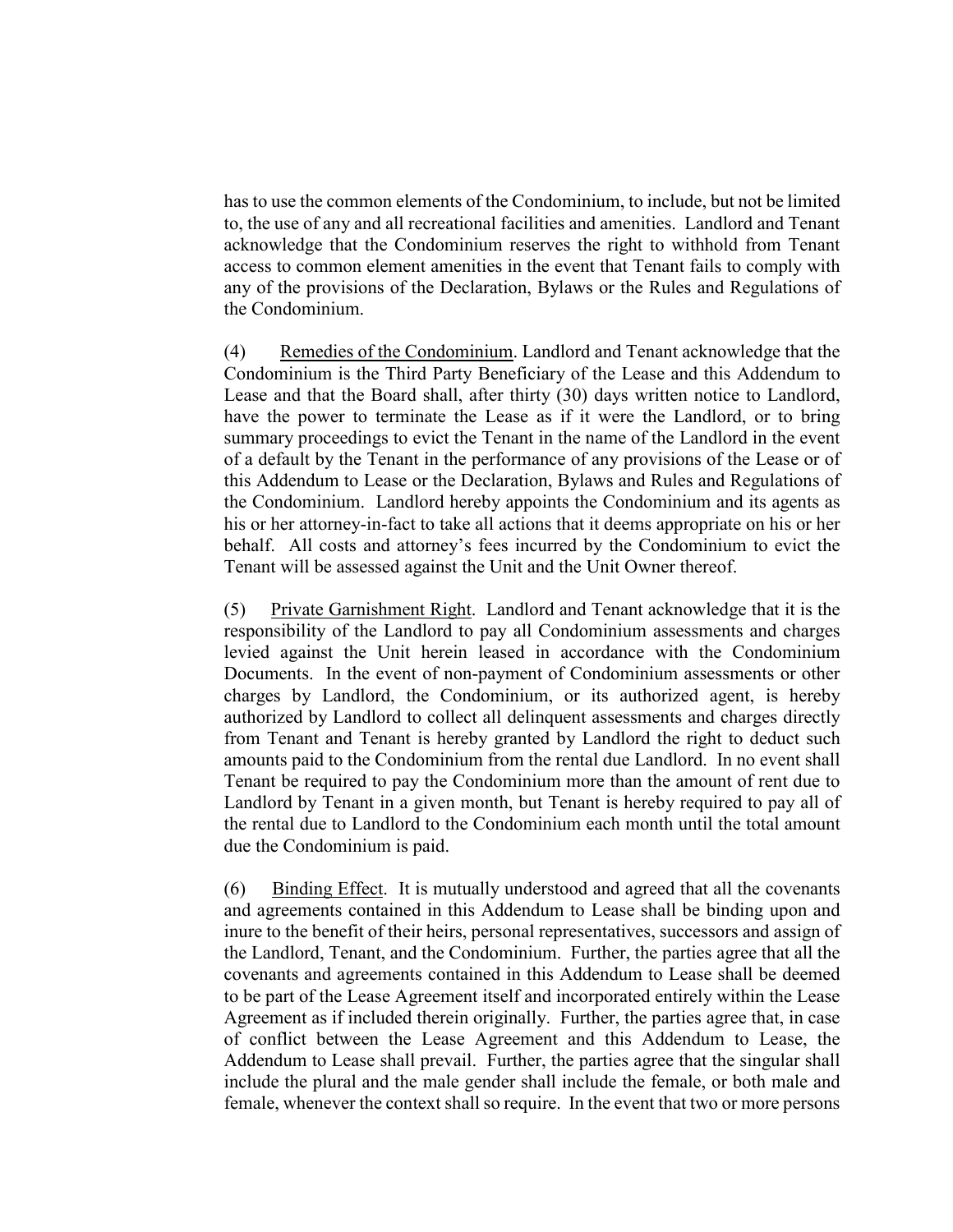has to use the common elements of the Condominium, to include, but not be limited to, the use of any and all recreational facilities and amenities. Landlord and Tenant acknowledge that the Condominium reserves the right to withhold from Tenant access to common element amenities in the event that Tenant fails to comply with any of the provisions of the Declaration, Bylaws or the Rules and Regulations of the Condominium.

(4) Remedies of the Condominium. Landlord and Tenant acknowledge that the Condominium is the Third Party Beneficiary of the Lease and this Addendum to Lease and that the Board shall, after thirty (30) days written notice to Landlord, have the power to terminate the Lease as if it were the Landlord, or to bring summary proceedings to evict the Tenant in the name of the Landlord in the event of a default by the Tenant in the performance of any provisions of the Lease or of this Addendum to Lease or the Declaration, Bylaws and Rules and Regulations of the Condominium. Landlord hereby appoints the Condominium and its agents as his or her attorney-in-fact to take all actions that it deems appropriate on his or her behalf. All costs and attorney's fees incurred by the Condominium to evict the Tenant will be assessed against the Unit and the Unit Owner thereof.

(5) Private Garnishment Right. Landlord and Tenant acknowledge that it is the responsibility of the Landlord to pay all Condominium assessments and charges levied against the Unit herein leased in accordance with the Condominium Documents. In the event of non-payment of Condominium assessments or other charges by Landlord, the Condominium, or its authorized agent, is hereby authorized by Landlord to collect all delinquent assessments and charges directly from Tenant and Tenant is hereby granted by Landlord the right to deduct such amounts paid to the Condominium from the rental due Landlord. In no event shall Tenant be required to pay the Condominium more than the amount of rent due to Landlord by Tenant in a given month, but Tenant is hereby required to pay all of the rental due to Landlord to the Condominium each month until the total amount due the Condominium is paid.

(6) Binding Effect. It is mutually understood and agreed that all the covenants and agreements contained in this Addendum to Lease shall be binding upon and inure to the benefit of their heirs, personal representatives, successors and assign of the Landlord, Tenant, and the Condominium. Further, the parties agree that all the covenants and agreements contained in this Addendum to Lease shall be deemed to be part of the Lease Agreement itself and incorporated entirely within the Lease Agreement as if included therein originally. Further, the parties agree that, in case of conflict between the Lease Agreement and this Addendum to Lease, the Addendum to Lease shall prevail. Further, the parties agree that the singular shall include the plural and the male gender shall include the female, or both male and female, whenever the context shall so require. In the event that two or more persons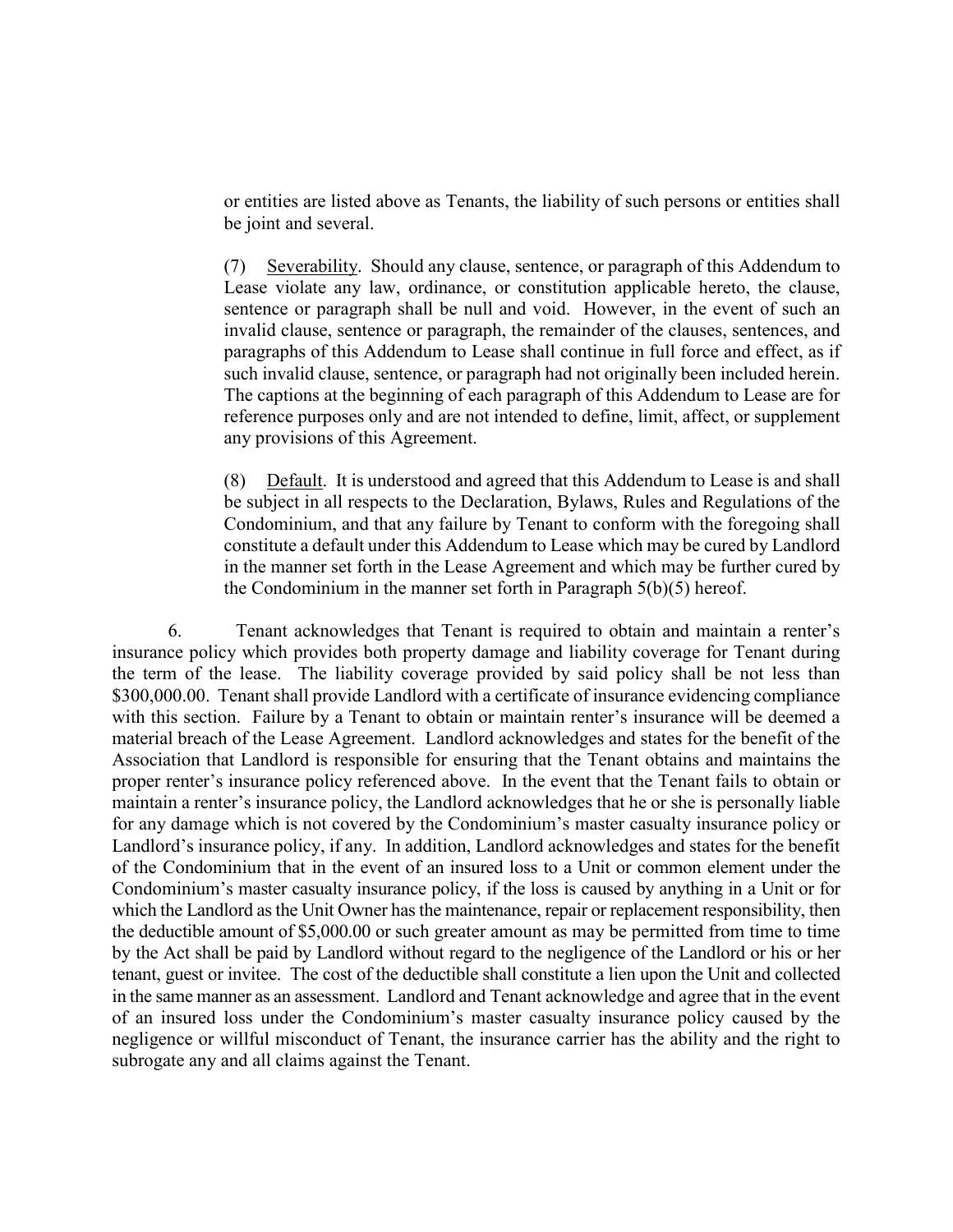or entities are listed above as Tenants, the liability of such persons or entities shall be joint and several.

(7) Severability. Should any clause, sentence, or paragraph of this Addendum to Lease violate any law, ordinance, or constitution applicable hereto, the clause, sentence or paragraph shall be null and void. However, in the event of such an invalid clause, sentence or paragraph, the remainder of the clauses, sentences, and paragraphs of this Addendum to Lease shall continue in full force and effect, as if such invalid clause, sentence, or paragraph had not originally been included herein. The captions at the beginning of each paragraph of this Addendum to Lease are for reference purposes only and are not intended to define, limit, affect, or supplement any provisions of this Agreement.

(8) Default. It is understood and agreed that this Addendum to Lease is and shall be subject in all respects to the Declaration, Bylaws, Rules and Regulations of the Condominium, and that any failure by Tenant to conform with the foregoing shall constitute a default under this Addendum to Lease which may be cured by Landlord in the manner set forth in the Lease Agreement and which may be further cured by the Condominium in the manner set forth in Paragraph 5(b)(5) hereof.

6. Tenant acknowledges that Tenant is required to obtain and maintain a renter's insurance policy which provides both property damage and liability coverage for Tenant during the term of the lease. The liability coverage provided by said policy shall be not less than \$300,000.00. Tenant shall provide Landlord with a certificate of insurance evidencing compliance with this section.Failure by a Tenant to obtain or maintain renter's insurance will be deemed a material breach of the Lease Agreement. Landlord acknowledges and states for the benefit of the Association that Landlord is responsible for ensuring that the Tenant obtains and maintains the proper renter's insurance policy referenced above. In the event that the Tenant fails to obtain or maintain a renter's insurance policy, the Landlord acknowledges that he or she is personally liable for any damage which is not covered by the Condominium's master casualty insurance policy or Landlord's insurance policy, if any. In addition, Landlord acknowledges and states for the benefit of the Condominium that in the event of an insured loss to a Unit or common element under the Condominium's master casualty insurance policy, if the loss is caused by anything in a Unit or for which the Landlord as the Unit Owner has the maintenance, repair or replacement responsibility, then the deductible amount of \$5,000.00 or such greater amount as may be permitted from time to time by the Act shall be paid by Landlord without regard to the negligence of the Landlord or his or her tenant, guest or invitee. The cost of the deductible shall constitute a lien upon the Unit and collected in the same manner as an assessment. Landlord and Tenant acknowledge and agree that in the event of an insured loss under the Condominium's master casualty insurance policy caused by the negligence or willful misconduct of Tenant, the insurance carrier has the ability and the right to subrogate any and all claims against the Tenant.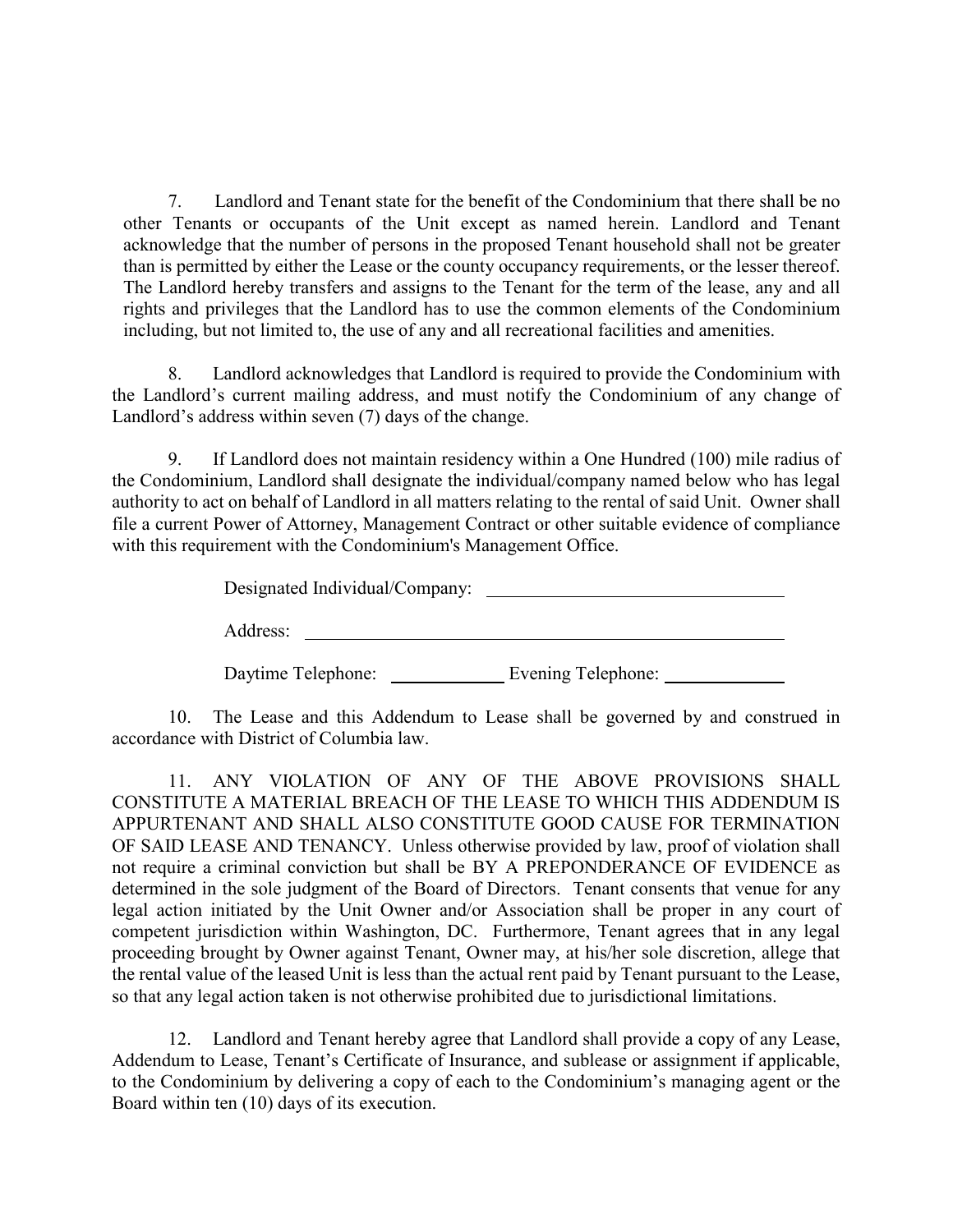7. Landlord and Tenant state for the benefit of the Condominium that there shall be no other Tenants or occupants of the Unit except as named herein. Landlord and Tenant acknowledge that the number of persons in the proposed Tenant household shall not be greater than is permitted by either the Lease or the county occupancy requirements, or the lesser thereof. The Landlord hereby transfers and assigns to the Tenant for the term of the lease, any and all rights and privileges that the Landlord has to use the common elements of the Condominium including, but not limited to, the use of any and all recreational facilities and amenities.

8. Landlord acknowledges that Landlord is required to provide the Condominium with the Landlord's current mailing address, and must notify the Condominium of any change of Landlord's address within seven (7) days of the change.

9. If Landlord does not maintain residency within a One Hundred (100) mile radius of the Condominium, Landlord shall designate the individual/company named below who has legal authority to act on behalf of Landlord in all matters relating to the rental of said Unit. Owner shall file a current Power of Attorney, Management Contract or other suitable evidence of compliance with this requirement with the Condominium's Management Office.

Designated Individual/Company:

Address:

Daytime Telephone: Evening Telephone:

10. The Lease and this Addendum to Lease shall be governed by and construed in accordance with District of Columbia law.

11. ANY VIOLATION OF ANY OF THE ABOVE PROVISIONS SHALL CONSTITUTE A MATERIAL BREACH OF THE LEASE TO WHICH THIS ADDENDUM IS APPURTENANT AND SHALL ALSO CONSTITUTE GOOD CAUSE FOR TERMINATION OF SAID LEASE AND TENANCY. Unless otherwise provided by law, proof of violation shall not require a criminal conviction but shall be BY A PREPONDERANCE OF EVIDENCE as determined in the sole judgment of the Board of Directors. Tenant consents that venue for any legal action initiated by the Unit Owner and/or Association shall be proper in any court of competent jurisdiction within Washington, DC. Furthermore, Tenant agrees that in any legal proceeding brought by Owner against Tenant, Owner may, at his/her sole discretion, allege that the rental value of the leased Unit is less than the actual rent paid by Tenant pursuant to the Lease, so that any legal action taken is not otherwise prohibited due to jurisdictional limitations.

12. Landlord and Tenant hereby agree that Landlord shall provide a copy of any Lease, Addendum to Lease, Tenant's Certificate of Insurance, and sublease or assignment if applicable, to the Condominium by delivering a copy of each to the Condominium's managing agent or the Board within ten (10) days of its execution.